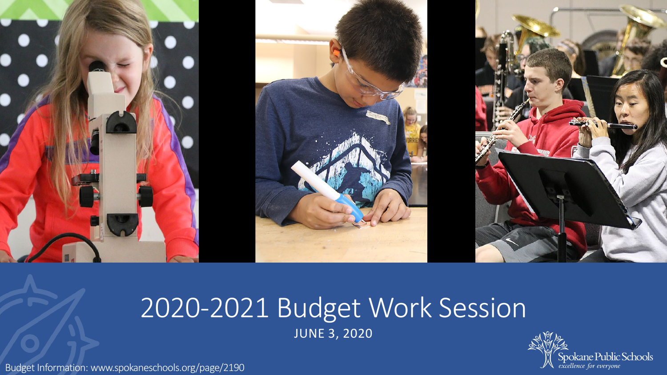

# 2020-2021 Budget Work Session JUNE 3, 2020

Spokane Public Schools<br>excellence for everyone

Budget Information: www.spokaneschools.org/page/2190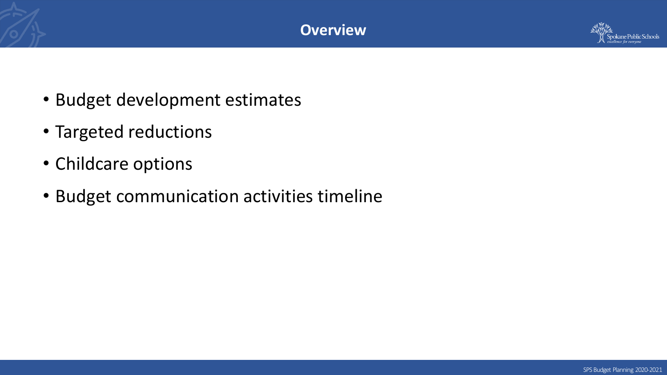



- Budget development estimates
- Targeted reductions
- Childcare options
- Budget communication activities timeline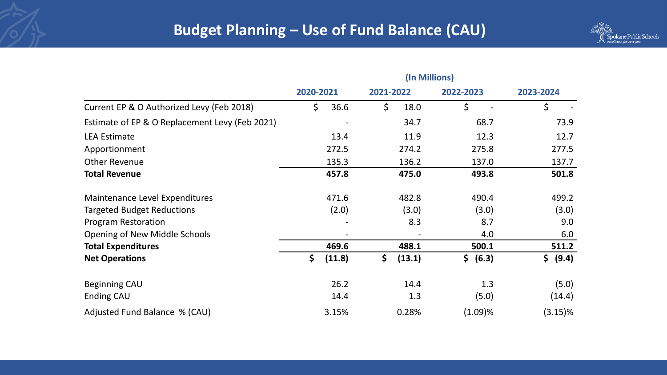

|                                                | (In Millions) |               |           |             |
|------------------------------------------------|---------------|---------------|-----------|-------------|
|                                                | 2020-2021     | 2021-2022     | 2022-2023 | 2023-2024   |
| Current EP & O Authorized Levy (Feb 2018)      | \$<br>36.6    | \$<br>18.0    | \$        | \$          |
| Estimate of EP & O Replacement Levy (Feb 2021) |               | 34.7          | 68.7      | 73.9        |
| <b>LEA Estimate</b>                            | 13.4          | 11.9          | 12.3      | 12.7        |
| Apportionment                                  | 272.5         | 274.2         | 275.8     | 277.5       |
| <b>Other Revenue</b>                           | 135.3         | 136.2         | 137.0     | 137.7       |
| <b>Total Revenue</b>                           | 457.8         | 475.0         | 493.8     | 501.8       |
| Maintenance Level Expenditures                 | 471.6         | 482.8         | 490.4     | 499.2       |
| <b>Targeted Budget Reductions</b>              | (2.0)         | (3.0)         | (3.0)     | (3.0)       |
| <b>Program Restoration</b>                     |               | 8.3           | 8.7       | 9.0         |
| <b>Opening of New Middle Schools</b>           |               |               | 4.0       | 6.0         |
| <b>Total Expenditures</b>                      | 469.6         | 488.1         | 500.1     | 511.2       |
| <b>Net Operations</b>                          | \$<br>(11.8)  | \$.<br>(13.1) | \$ (6.3)  | \$<br>(9.4) |
| <b>Beginning CAU</b>                           | 26.2          | 14.4          | 1.3       | (5.0)       |
| Ending CAU                                     | 14.4          | 1.3           | (5.0)     | (14.4)      |
| Adjusted Fund Balance % (CAU)                  | 3.15%         | 0.28%         | (1.09)%   | $(3.15)\%$  |
|                                                |               |               |           |             |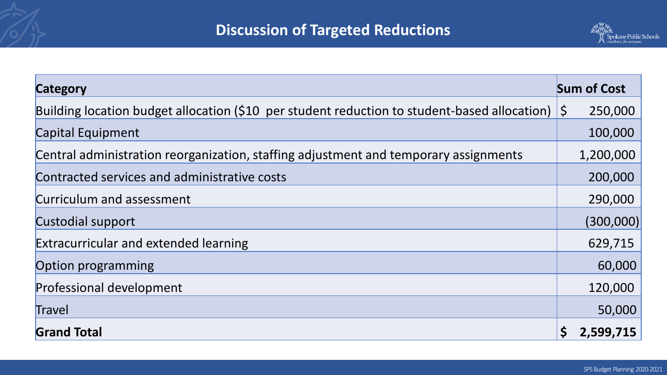

| <b>Category</b>                                                                              | <b>Sum of Cost</b>      |
|----------------------------------------------------------------------------------------------|-------------------------|
| Building location budget allocation (\$10 per student reduction to student-based allocation) | 250,000<br>$\mathsf{S}$ |
| <b>Capital Equipment</b>                                                                     | 100,000                 |
| Central administration reorganization, staffing adjustment and temporary assignments         | 1,200,000               |
| Contracted services and administrative costs                                                 | 200,000                 |
| Curriculum and assessment                                                                    | 290,000                 |
| Custodial support                                                                            | (300,000)               |
| <b>Extracurricular and extended learning</b>                                                 | 629,715                 |
| Option programming                                                                           | 60,000                  |
| <b>Professional development</b>                                                              | 120,000                 |
| Travel                                                                                       | 50,000                  |
| <b>Grand Total</b>                                                                           | 2,599,715               |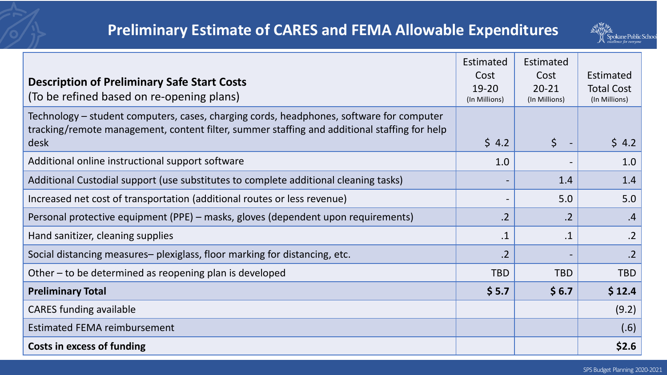

|                                                                                              | Estimated                    | Estimated     |                   |
|----------------------------------------------------------------------------------------------|------------------------------|---------------|-------------------|
| <b>Description of Preliminary Safe Start Costs</b>                                           | Cost                         | Cost          | Estimated         |
| (To be refined based on re-opening plans)                                                    | $19 - 20$                    | $20 - 21$     | <b>Total Cost</b> |
|                                                                                              | (In Millions)                | (In Millions) | (In Millions)     |
| Technology – student computers, cases, charging cords, headphones, software for computer     |                              |               |                   |
| tracking/remote management, content filter, summer staffing and additional staffing for help |                              |               |                   |
| desk                                                                                         | \$4.2                        | \$            | \$4.2             |
| Additional online instructional support software                                             | 1.0                          |               | 1.0               |
| Additional Custodial support (use substitutes to complete additional cleaning tasks)         | $\qquad \qquad \blacksquare$ | 1.4           | 1.4               |
| Increased net cost of transportation (additional routes or less revenue)                     | $\qquad \qquad$              | 5.0           | 5.0               |
| Personal protective equipment (PPE) – masks, gloves (dependent upon requirements)            | .2                           | .2            | .4                |
| Hand sanitizer, cleaning supplies                                                            | $\cdot$ 1                    | $.1\,$        | $\cdot$ .2        |
| Social distancing measures– plexiglass, floor marking for distancing, etc.                   | $\overline{2}$               |               | .2                |
| Other – to be determined as reopening plan is developed                                      | <b>TBD</b>                   | <b>TBD</b>    | <b>TBD</b>        |
| <b>Preliminary Total</b>                                                                     | \$5.7                        | \$6.7         | \$12.4            |
| <b>CARES funding available</b>                                                               |                              |               | (9.2)             |
| <b>Estimated FEMA reimbursement</b>                                                          |                              |               | (.6)              |
| <b>Costs in excess of funding</b>                                                            |                              |               | \$2.6             |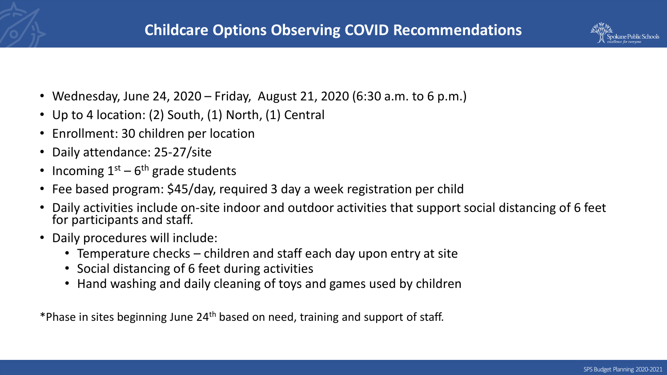

- Wednesday, June 24, 2020 Friday, August 21, 2020 (6:30 a.m. to 6 p.m.)
- Up to 4 location: (2) South, (1) North, (1) Central
- Enrollment: 30 children per location
- Daily attendance: 25-27/site
- Incoming  $1<sup>st</sup> 6<sup>th</sup>$  grade students
- Fee based program: \$45/day, required 3 day a week registration per child
- Daily activities include on-site indoor and outdoor activities that support social distancing of 6 feet for participants and staff.
- Daily procedures will include:
	- Temperature checks children and staff each day upon entry at site
	- Social distancing of 6 feet during activities
	- Hand washing and daily cleaning of toys and games used by children

\*Phase in sites beginning June 24th based on need, training and support of staff.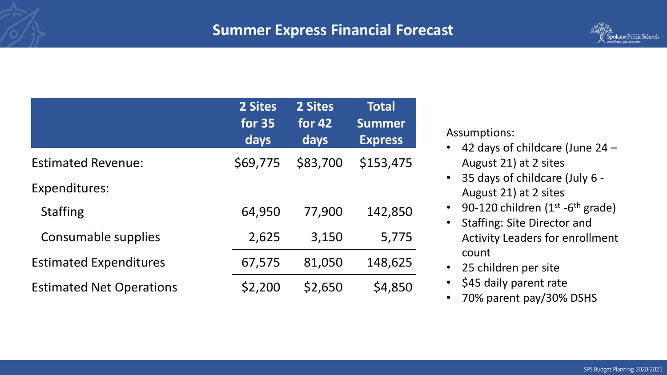### **Summer Express Financial Forecast**



|                                 | 2 Sites<br><b>for 35</b><br>days | 2 Sites<br>for $42$<br>days | <b>Total</b><br><b>Summer</b><br><b>Express</b> |
|---------------------------------|----------------------------------|-----------------------------|-------------------------------------------------|
| <b>Estimated Revenue:</b>       | \$69,775                         | \$83,700                    | \$153,475                                       |
| <b>Expenditures:</b>            |                                  |                             |                                                 |
| <b>Staffing</b>                 | 64,950                           | 77,900                      | 142,850                                         |
| Consumable supplies             | 2,625                            | 3,150                       | 5,775                                           |
| <b>Estimated Expenditures</b>   | 67,575                           | 81,050                      | 148,625                                         |
| <b>Estimated Net Operations</b> | \$2,200                          | \$2,650                     | \$4,850                                         |

Assumptions:

- 42 days of childcare (June 24 August 21) at 2 sites
- 35 days of childcare (July 6 August 21) at 2 sites
- 90-120 children  $(1^{st} 6^{th}$  grade)
- Staffing: Site Director and Activity Leaders for enrollment count
- 25 children per site
- \$45 daily parent rate
- 70% parent pay/30% DSHS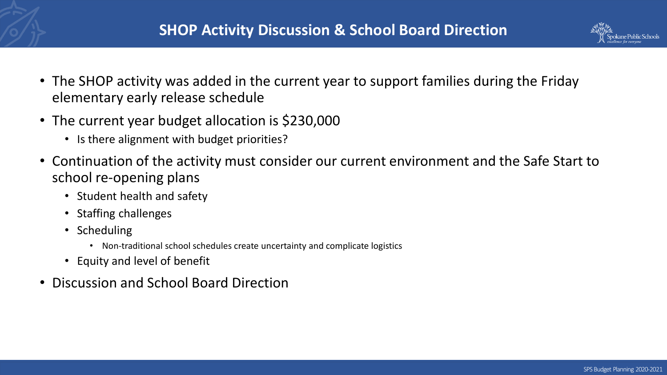

- The SHOP activity was added in the current year to support families during the Friday elementary early release schedule
- The current year budget allocation is \$230,000
	- Is there alignment with budget priorities?
- Continuation of the activity must consider our current environment and the Safe Start to school re-opening plans
	- Student health and safety
	- Staffing challenges
	- Scheduling
		- Non-traditional school schedules create uncertainty and complicate logistics
	- Equity and level of benefit
- Discussion and School Board Direction